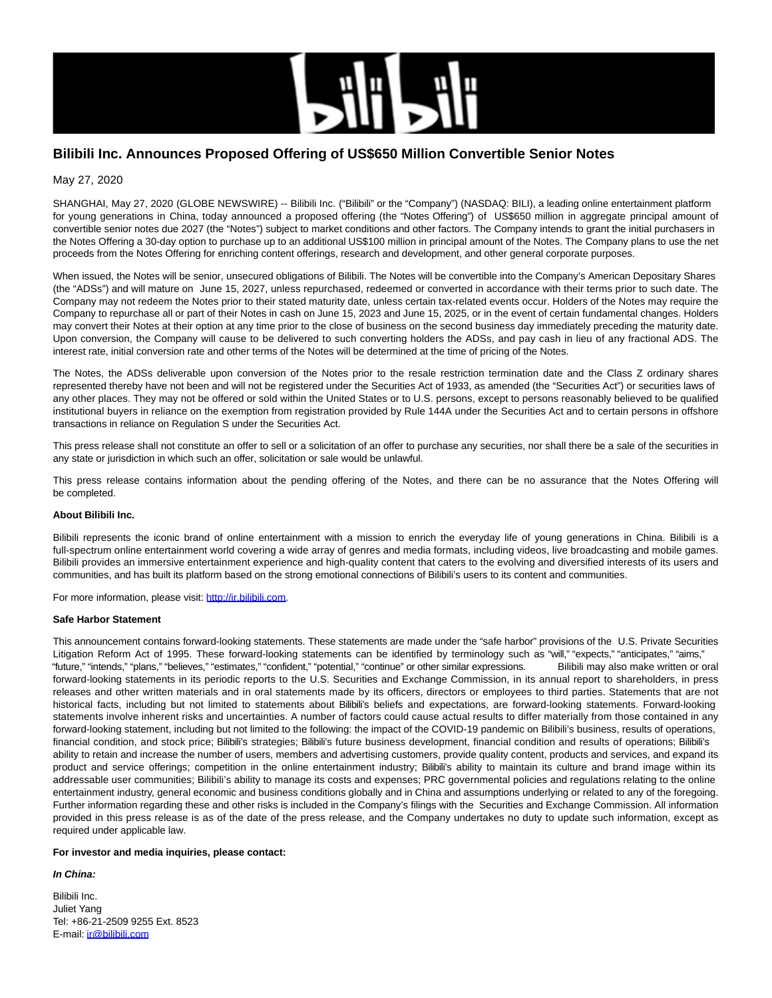

# **Bilibili Inc. Announces Proposed Offering of US\$650 Million Convertible Senior Notes**

May 27, 2020

SHANGHAI, May 27, 2020 (GLOBE NEWSWIRE) -- Bilibili Inc. ("Bilibili" or the "Company") (NASDAQ: BILI), a leading online entertainment platform for young generations in China, today announced a proposed offering (the "Notes Offering") of US\$650 million in aggregate principal amount of convertible senior notes due 2027 (the "Notes") subject to market conditions and other factors. The Company intends to grant the initial purchasers in the Notes Offering a 30-day option to purchase up to an additional US\$100 million in principal amount of the Notes. The Company plans to use the net proceeds from the Notes Offering for enriching content offerings, research and development, and other general corporate purposes.

When issued, the Notes will be senior, unsecured obligations of Bilibili. The Notes will be convertible into the Company's American Depositary Shares (the "ADSs") and will mature on June 15, 2027, unless repurchased, redeemed or converted in accordance with their terms prior to such date. The Company may not redeem the Notes prior to their stated maturity date, unless certain tax-related events occur. Holders of the Notes may require the Company to repurchase all or part of their Notes in cash on June 15, 2023 and June 15, 2025, or in the event of certain fundamental changes. Holders may convert their Notes at their option at any time prior to the close of business on the second business day immediately preceding the maturity date. Upon conversion, the Company will cause to be delivered to such converting holders the ADSs, and pay cash in lieu of any fractional ADS. The interest rate, initial conversion rate and other terms of the Notes will be determined at the time of pricing of the Notes.

The Notes, the ADSs deliverable upon conversion of the Notes prior to the resale restriction termination date and the Class Z ordinary shares represented thereby have not been and will not be registered under the Securities Act of 1933, as amended (the "Securities Act") or securities laws of any other places. They may not be offered or sold within the United States or to U.S. persons, except to persons reasonably believed to be qualified institutional buyers in reliance on the exemption from registration provided by Rule 144A under the Securities Act and to certain persons in offshore transactions in reliance on Regulation S under the Securities Act.

This press release shall not constitute an offer to sell or a solicitation of an offer to purchase any securities, nor shall there be a sale of the securities in any state or jurisdiction in which such an offer, solicitation or sale would be unlawful.

This press release contains information about the pending offering of the Notes, and there can be no assurance that the Notes Offering will be completed.

#### **About Bilibili Inc.**

Bilibili represents the iconic brand of online entertainment with a mission to enrich the everyday life of young generations in China. Bilibili is a full-spectrum online entertainment world covering a wide array of genres and media formats, including videos, live broadcasting and mobile games. Bilibili provides an immersive entertainment experience and high-quality content that caters to the evolving and diversified interests of its users and communities, and has built its platform based on the strong emotional connections of Bilibili's users to its content and communities.

For more information, please visit: [http://ir.bilibili.com.](http://ir.bilibili.com/)

#### **Safe Harbor Statement**

This announcement contains forward-looking statements. These statements are made under the "safe harbor" provisions of the U.S. Private Securities Litigation Reform Act of 1995. These forward-looking statements can be identified by terminology such as "will," "expects," "anticipates," "aims," "future," "intends," "plans," "believes," "estimates," "confident," "potential," "continue" or other similar expressions. Bilibili may also make written or oral forward-looking statements in its periodic reports to the U.S. Securities and Exchange Commission, in its annual report to shareholders, in press releases and other written materials and in oral statements made by its officers, directors or employees to third parties. Statements that are not historical facts, including but not limited to statements about Bilibili's beliefs and expectations, are forward-looking statements. Forward-looking statements involve inherent risks and uncertainties. A number of factors could cause actual results to differ materially from those contained in any forward-looking statement, including but not limited to the following: the impact of the COVID-19 pandemic on Bilibili's business, results of operations, financial condition, and stock price; Bilibili's strategies; Bilibili's future business development, financial condition and results of operations; Bilibili's ability to retain and increase the number of users, members and advertising customers, provide quality content, products and services, and expand its product and service offerings; competition in the online entertainment industry; Bilibili's ability to maintain its culture and brand image within its addressable user communities; Bilibili's ability to manage its costs and expenses; PRC governmental policies and regulations relating to the online entertainment industry, general economic and business conditions globally and in China and assumptions underlying or related to any of the foregoing. Further information regarding these and other risks is included in the Company's filings with the Securities and Exchange Commission. All information provided in this press release is as of the date of the press release, and the Company undertakes no duty to update such information, except as required under applicable law.

#### **For investor and media inquiries, please contact:**

### **In China:**

Bilibili Inc. Juliet Yang Tel: +86-21-2509 9255 Ext. 8523 E-mail: [ir@bilibili.com](mailto:ir@bilibili.com)